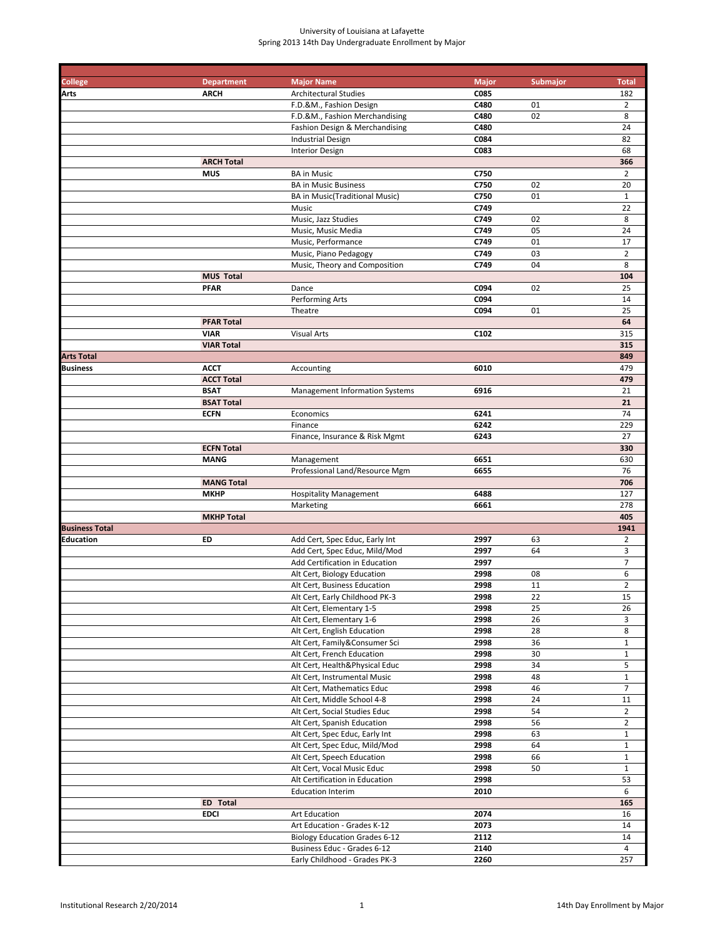| College               | <b>Department</b>               | <b>Major Name</b>                                                   | <b>Major</b> | Submajor | <b>Total</b>          |
|-----------------------|---------------------------------|---------------------------------------------------------------------|--------------|----------|-----------------------|
| Arts                  | <b>ARCH</b>                     | <b>Architectural Studies</b>                                        | C085         |          | 182                   |
|                       |                                 | F.D.&M., Fashion Design                                             | C480         | 01       | $\overline{2}$        |
|                       |                                 | F.D.&M., Fashion Merchandising                                      | C480         | 02       | 8                     |
|                       |                                 | Fashion Design & Merchandising                                      | C480         |          | 24                    |
|                       |                                 | <b>Industrial Design</b>                                            | C084<br>C083 |          | 82<br>68              |
|                       |                                 | <b>Interior Design</b>                                              |              |          |                       |
|                       | <b>ARCH Total</b><br><b>MUS</b> | <b>BA</b> in Music                                                  | C750         |          | 366<br>$\overline{2}$ |
|                       |                                 | <b>BA in Music Business</b>                                         | C750         | 02       | 20                    |
|                       |                                 | <b>BA in Music(Traditional Music)</b>                               | C750         | 01       | $\mathbf{1}$          |
|                       |                                 | Music                                                               | C749         |          | 22                    |
|                       |                                 | Music, Jazz Studies                                                 | C749         | 02       | 8                     |
|                       |                                 | Music, Music Media                                                  | C749         | 05       | 24                    |
|                       |                                 | Music, Performance                                                  | C749         | 01       | 17                    |
|                       |                                 | Music, Piano Pedagogy                                               | C749         | 03       | $\overline{2}$        |
|                       |                                 | Music, Theory and Composition                                       | C749         | 04       | 8                     |
|                       | <b>MUS Total</b>                |                                                                     |              |          | 104                   |
|                       | <b>PFAR</b>                     | Dance                                                               | C094         | 02       | 25                    |
|                       |                                 | Performing Arts                                                     | C094         |          | 14                    |
|                       |                                 | Theatre                                                             | C094         | 01       | 25                    |
|                       | <b>PFAR Total</b>               |                                                                     |              |          | 64                    |
|                       | <b>VIAR</b>                     | <b>Visual Arts</b>                                                  | C102         |          | 315                   |
|                       | <b>VIAR Total</b>               |                                                                     |              |          | 315                   |
| <b>Arts Total</b>     |                                 |                                                                     |              |          | 849                   |
| Business              | <b>ACCT</b>                     | Accounting                                                          | 6010         |          | 479                   |
|                       | <b>ACCT Total</b>               |                                                                     |              |          | 479                   |
|                       | <b>BSAT</b>                     | <b>Management Information Systems</b>                               | 6916         |          | 21                    |
|                       | <b>BSAT Total</b>               |                                                                     |              |          | 21                    |
|                       | <b>ECFN</b>                     | Economics                                                           | 6241         |          | 74                    |
|                       |                                 | Finance                                                             | 6242         |          | 229                   |
|                       |                                 | Finance, Insurance & Risk Mgmt                                      | 6243         |          | 27                    |
|                       | <b>ECFN Total</b>               |                                                                     |              |          | 330                   |
|                       | <b>MANG</b>                     | Management                                                          | 6651         |          | 630                   |
|                       |                                 | Professional Land/Resource Mgm                                      | 6655         |          | 76                    |
|                       | <b>MANG Total</b>               |                                                                     |              |          | 706                   |
|                       | <b>MKHP</b>                     | <b>Hospitality Management</b><br>Marketing                          | 6488<br>6661 |          | 127<br>278            |
|                       | <b>MKHP Total</b>               |                                                                     |              |          | 405                   |
| <b>Business Total</b> |                                 |                                                                     |              |          | 1941                  |
| Education             | ED                              | Add Cert, Spec Educ, Early Int                                      | 2997         | 63       | $\overline{2}$        |
|                       |                                 | Add Cert, Spec Educ, Mild/Mod                                       | 2997         | 64       | 3                     |
|                       |                                 | Add Certification in Education                                      | 2997         |          | $\overline{7}$        |
|                       |                                 | Alt Cert, Biology Education                                         | 2998         | 08       | 6                     |
|                       |                                 | Alt Cert, Business Education                                        | 2998         | 11       | $\overline{2}$        |
|                       |                                 | Alt Cert, Early Childhood PK-3                                      | 2998         | 22       | 15                    |
|                       |                                 | Alt Cert, Elementary 1-5                                            | 2998         | 25       | 26                    |
|                       |                                 | Alt Cert, Elementary 1-6                                            | 2998         | 26       | 3                     |
|                       |                                 | Alt Cert, English Education                                         | 2998         | 28       | 8                     |
|                       |                                 | Alt Cert, Family&Consumer Sci                                       | 2998         | 36       | $\mathbf{1}$          |
|                       |                                 | Alt Cert, French Education                                          | 2998         | 30       | $\mathbf{1}$          |
|                       |                                 | Alt Cert, Health&Physical Educ                                      | 2998         | 34       | 5                     |
|                       |                                 | Alt Cert, Instrumental Music                                        | 2998         | 48       | $\mathbf{1}$          |
|                       |                                 | Alt Cert, Mathematics Educ                                          | 2998         | 46       | $\overline{7}$        |
|                       |                                 | Alt Cert, Middle School 4-8                                         | 2998         | 24       | 11                    |
|                       |                                 | Alt Cert, Social Studies Educ                                       | 2998         | 54       | $\overline{2}$        |
|                       |                                 | Alt Cert, Spanish Education                                         | 2998         | 56       | $\overline{2}$        |
|                       |                                 | Alt Cert, Spec Educ, Early Int                                      | 2998         | 63       | $\mathbf{1}$          |
|                       |                                 | Alt Cert, Spec Educ, Mild/Mod                                       | 2998         | 64       | $\mathbf{1}$          |
|                       |                                 | Alt Cert, Speech Education                                          | 2998         | 66       | $\mathbf{1}$          |
|                       |                                 | Alt Cert, Vocal Music Educ                                          | 2998         | 50       | $\mathbf{1}$          |
|                       |                                 | Alt Certification in Education                                      | 2998         |          | 53                    |
|                       |                                 | <b>Education Interim</b>                                            | 2010         |          | 6                     |
|                       | ED Total                        |                                                                     |              |          | 165                   |
|                       | <b>EDCI</b>                     | Art Education                                                       | 2074         |          | 16                    |
|                       |                                 | Art Education - Grades K-12                                         | 2073<br>2112 |          | 14<br>14              |
|                       |                                 | <b>Biology Education Grades 6-12</b><br>Business Educ - Grades 6-12 | 2140         |          | 4                     |
|                       |                                 | Early Childhood - Grades PK-3                                       | 2260         |          | 257                   |
|                       |                                 |                                                                     |              |          |                       |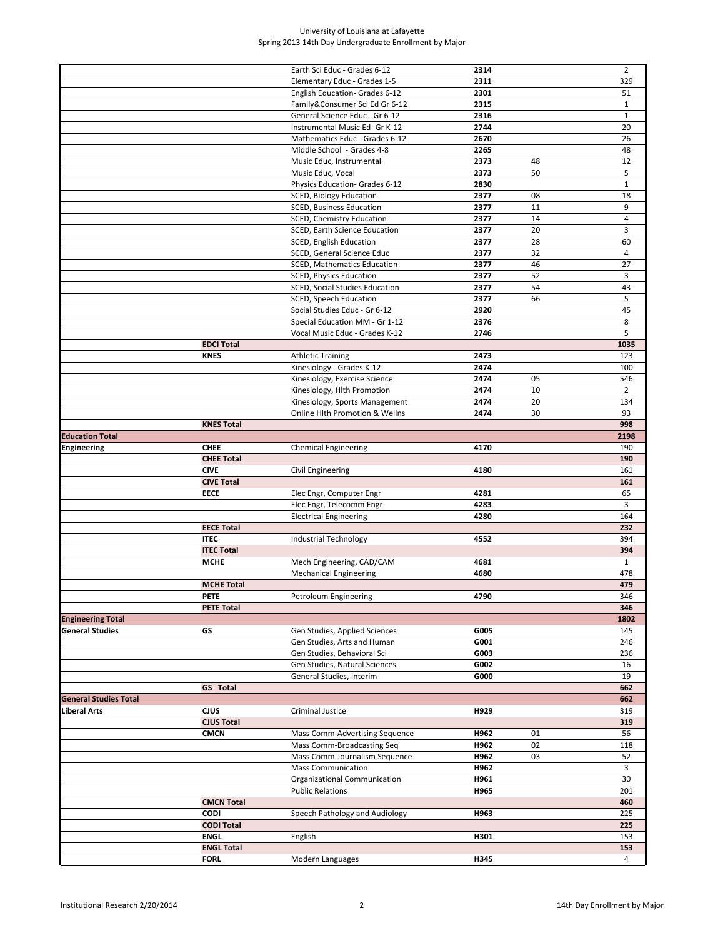|                              |                   | Earth Sci Educ - Grades 6-12                              | 2314         |    | $\overline{2}$ |
|------------------------------|-------------------|-----------------------------------------------------------|--------------|----|----------------|
|                              |                   | Elementary Educ - Grades 1-5                              | 2311         |    | 329            |
|                              |                   |                                                           |              |    |                |
|                              |                   | English Education- Grades 6-12                            | 2301         |    | 51             |
|                              |                   | Family&Consumer Sci Ed Gr 6-12                            | 2315         |    | $\mathbf{1}$   |
|                              |                   | General Science Educ - Gr 6-12                            | 2316         |    | $\mathbf{1}$   |
|                              |                   | Instrumental Music Ed- Gr K-12                            | 2744         |    | 20             |
|                              |                   | Mathematics Educ - Grades 6-12                            | 2670         |    | 26             |
|                              |                   | Middle School - Grades 4-8                                | 2265         |    | 48             |
|                              |                   | Music Educ, Instrumental                                  | 2373         | 48 | 12             |
|                              |                   | Music Educ, Vocal                                         | 2373         | 50 | 5              |
|                              |                   | Physics Education- Grades 6-12                            | 2830         |    | $\mathbf{1}$   |
|                              |                   |                                                           | 2377         | 08 |                |
|                              |                   | <b>SCED, Biology Education</b>                            |              |    | 18             |
|                              |                   | SCED, Business Education                                  | 2377         | 11 | 9              |
|                              |                   | SCED, Chemistry Education                                 | 2377         | 14 | $\overline{4}$ |
|                              |                   | SCED, Earth Science Education                             | 2377         | 20 | 3              |
|                              |                   | SCED, English Education                                   | 2377         | 28 | 60             |
|                              |                   | SCED, General Science Educ                                | 2377         | 32 | $\overline{4}$ |
|                              |                   | <b>SCED, Mathematics Education</b>                        | 2377         | 46 | 27             |
|                              |                   | SCED, Physics Education                                   | 2377         | 52 | 3              |
|                              |                   | SCED, Social Studies Education                            | 2377         | 54 | 43             |
|                              |                   |                                                           |              |    |                |
|                              |                   | SCED, Speech Education                                    | 2377         | 66 | 5              |
|                              |                   | Social Studies Educ - Gr 6-12                             | 2920         |    | 45             |
|                              |                   | Special Education MM - Gr 1-12                            | 2376         |    | 8              |
|                              |                   | Vocal Music Educ - Grades K-12                            | 2746         |    | 5              |
|                              | <b>EDCI Total</b> |                                                           |              |    | 1035           |
|                              | <b>KNES</b>       | <b>Athletic Training</b>                                  | 2473         |    | 123            |
|                              |                   | Kinesiology - Grades K-12                                 | 2474         |    | 100            |
|                              |                   | Kinesiology, Exercise Science                             | 2474         | 05 | 546            |
|                              |                   |                                                           |              |    |                |
|                              |                   | Kinesiology, Hlth Promotion                               | 2474         | 10 | $\overline{2}$ |
|                              |                   | Kinesiology, Sports Management                            | 2474         | 20 | 134            |
|                              |                   | <b>Online Hlth Promotion &amp; Wellns</b>                 | 2474         | 30 | 93             |
|                              | <b>KNES Total</b> |                                                           |              |    | 998            |
| <b>Education Total</b>       |                   |                                                           |              |    | 2198           |
| Engineering                  | <b>CHEE</b>       | <b>Chemical Engineering</b>                               | 4170         |    | 190            |
|                              | <b>CHEE Total</b> |                                                           |              |    | 190            |
|                              |                   |                                                           |              |    |                |
|                              |                   |                                                           |              |    |                |
|                              | <b>CIVE</b>       | Civil Engineering                                         | 4180         |    | 161            |
|                              | <b>CIVE Total</b> |                                                           |              |    | 161            |
|                              | <b>EECE</b>       | Elec Engr, Computer Engr                                  | 4281         |    | 65             |
|                              |                   | Elec Engr, Telecomm Engr                                  | 4283         |    | 3              |
|                              |                   | <b>Electrical Engineering</b>                             | 4280         |    | 164            |
|                              | <b>EECE Total</b> |                                                           |              |    | 232            |
|                              | <b>ITEC</b>       | Industrial Technology                                     | 4552         |    | 394            |
|                              | <b>ITEC Total</b> |                                                           |              |    | 394            |
|                              | <b>MCHE</b>       |                                                           | 4681         |    | $\mathbf{1}$   |
|                              |                   | Mech Engineering, CAD/CAM                                 |              |    |                |
|                              |                   | <b>Mechanical Engineering</b>                             | 4680         |    | 478            |
|                              | <b>MCHE Total</b> |                                                           |              |    | 479            |
|                              | PETE              | Petroleum Engineering                                     | 4790         |    | 346            |
|                              | <b>PETE Total</b> |                                                           |              |    | 346            |
| <b>Engineering Total</b>     |                   |                                                           |              |    | 1802           |
| General Studies              | GS                | Gen Studies, Applied Sciences                             | G005         |    | 145            |
|                              |                   | Gen Studies, Arts and Human                               | G001         |    | 246            |
|                              |                   | Gen Studies, Behavioral Sci                               | G003         |    | 236            |
|                              |                   |                                                           |              |    | 16             |
|                              |                   | Gen Studies, Natural Sciences<br>General Studies, Interim | G002<br>G000 |    | 19             |
|                              |                   |                                                           |              |    |                |
|                              | <b>GS</b> Total   |                                                           |              |    | 662            |
| <b>General Studies Total</b> |                   |                                                           |              |    | 662            |
| Liberal Arts                 | CJUS              | Criminal Justice                                          | H929         |    | 319            |
|                              | <b>CJUS Total</b> |                                                           |              |    | 319            |
|                              | <b>CMCN</b>       | Mass Comm-Advertising Sequence                            | H962         | 01 | 56             |
|                              |                   | Mass Comm-Broadcasting Seq                                | H962         | 02 | 118            |
|                              |                   | Mass Comm-Journalism Sequence                             | H962         | 03 | 52             |
|                              |                   | <b>Mass Communication</b>                                 | H962         |    | 3              |
|                              |                   | Organizational Communication                              | H961         |    | 30             |
|                              |                   |                                                           |              |    |                |
|                              |                   | <b>Public Relations</b>                                   | H965         |    | 201            |
|                              | <b>CMCN Total</b> |                                                           |              |    | 460            |
|                              | <b>CODI</b>       | Speech Pathology and Audiology                            | H963         |    | 225            |
|                              | <b>CODI Total</b> |                                                           |              |    | 225            |
|                              | <b>ENGL</b>       | English                                                   | H301         |    | 153            |
|                              | <b>ENGL Total</b> |                                                           |              |    | 153            |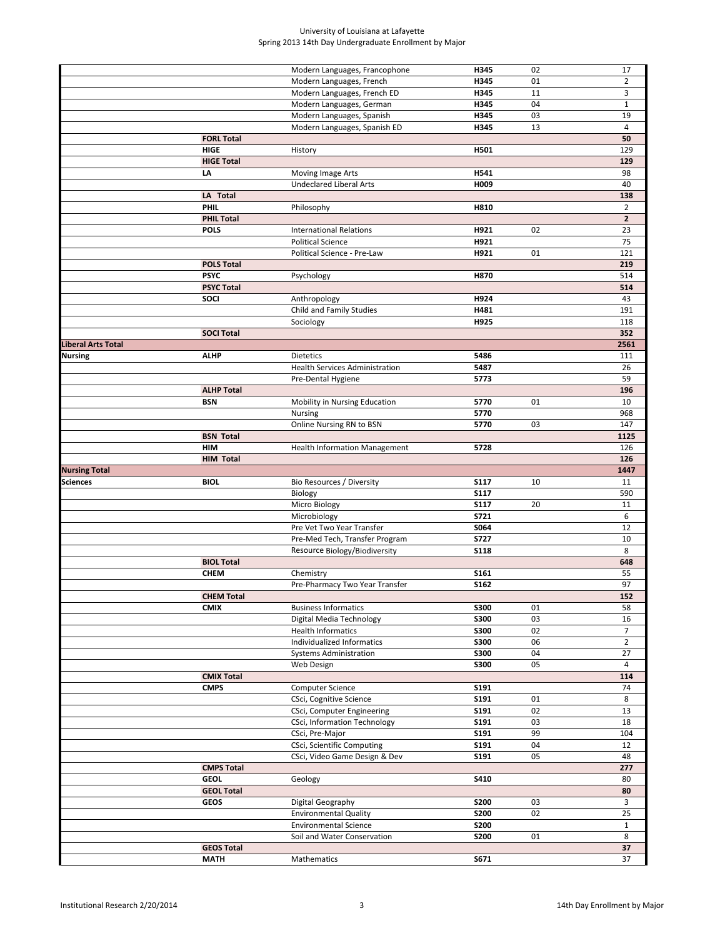|                           |                                  | Modern Languages, Francophone        | H345        | 02 | 17             |
|---------------------------|----------------------------------|--------------------------------------|-------------|----|----------------|
|                           |                                  |                                      |             |    |                |
|                           |                                  | Modern Languages, French             | H345        | 01 | $\overline{2}$ |
|                           |                                  | Modern Languages, French ED          | H345        | 11 | 3              |
|                           |                                  | Modern Languages, German             | H345        | 04 | $\mathbf{1}$   |
|                           |                                  | Modern Languages, Spanish            | H345        | 03 | 19             |
|                           |                                  | Modern Languages, Spanish ED         | H345        | 13 | $\overline{4}$ |
|                           | <b>FORL Total</b>                |                                      |             |    | 50             |
|                           |                                  |                                      |             |    |                |
|                           | <b>HIGE</b>                      | History                              | H501        |    | 129            |
|                           | <b>HIGE Total</b>                |                                      |             |    | 129            |
|                           | LA                               | Moving Image Arts                    | H541        |    | 98             |
|                           |                                  | <b>Undeclared Liberal Arts</b>       | H009        |    | 40             |
|                           | LA Total                         |                                      |             |    | 138            |
|                           | <b>PHIL</b>                      | Philosophy                           | H810        |    | $\overline{2}$ |
|                           |                                  |                                      |             |    |                |
|                           | <b>PHIL Total</b>                |                                      |             |    | $\mathbf{2}$   |
|                           | <b>POLS</b>                      | <b>International Relations</b>       | H921        | 02 | 23             |
|                           |                                  | <b>Political Science</b>             | H921        |    | 75             |
|                           |                                  | Political Science - Pre-Law          | H921        | 01 | 121            |
|                           | <b>POLS Total</b>                |                                      |             |    | 219            |
|                           | <b>PSYC</b>                      | Psychology                           | H870        |    | 514            |
|                           |                                  |                                      |             |    |                |
|                           | <b>PSYC Total</b>                |                                      |             |    | 514            |
|                           | SOCI                             | Anthropology                         | H924        |    | 43             |
|                           |                                  | Child and Family Studies             | H481        |    | 191            |
|                           |                                  | Sociology                            | H925        |    | 118            |
|                           | <b>SOCI Total</b>                |                                      |             |    | 352            |
| <b>Liberal Arts Total</b> |                                  |                                      |             |    | 2561           |
| <b>Nursing</b>            | <b>ALHP</b>                      |                                      | 5486        |    |                |
|                           |                                  | Dietetics                            |             |    | 111            |
|                           |                                  | Health Services Administration       | 5487        |    | 26             |
|                           |                                  | Pre-Dental Hygiene                   | 5773        |    | 59             |
|                           | <b>ALHP Total</b>                |                                      |             |    | 196            |
|                           | <b>BSN</b>                       | Mobility in Nursing Education        | 5770        | 01 | 10             |
|                           |                                  | Nursing                              | 5770        |    | 968            |
|                           |                                  | Online Nursing RN to BSN             | 5770        | 03 | 147            |
|                           |                                  |                                      |             |    |                |
|                           | <b>BSN Total</b>                 |                                      |             |    | 1125           |
|                           | <b>HIM</b>                       | <b>Health Information Management</b> | 5728        |    | 126            |
|                           | <b>HIM Total</b>                 |                                      |             |    | 126            |
|                           |                                  |                                      |             |    |                |
|                           |                                  |                                      |             |    | 1447           |
| <b>Nursing Total</b>      |                                  |                                      |             |    |                |
| Sciences                  | <b>BIOL</b>                      | Bio Resources / Diversity            | <b>S117</b> | 10 | 11             |
|                           |                                  | Biology                              | <b>S117</b> |    | 590            |
|                           |                                  | Micro Biology                        | <b>S117</b> | 20 | 11             |
|                           |                                  | Microbiology                         | S721        |    | 6              |
|                           |                                  | Pre Vet Two Year Transfer            | S064        |    | 12             |
|                           |                                  | Pre-Med Tech, Transfer Program       | <b>S727</b> |    | 10             |
|                           |                                  |                                      | <b>S118</b> |    | 8              |
|                           |                                  | Resource Biology/Biodiversity        |             |    |                |
|                           | <b>BIOL Total</b>                |                                      |             |    | 648            |
|                           | <b>CHEM</b>                      | Chemistry                            | S161        |    | 55             |
|                           |                                  | Pre-Pharmacy Two Year Transfer       | S162        |    | 97             |
|                           | <b>CHEM Total</b>                |                                      |             |    | 152            |
|                           | <b>CMIX</b>                      | <b>Business Informatics</b>          | <b>S300</b> | 01 | 58             |
|                           |                                  | Digital Media Technology             | <b>S300</b> | 03 | 16             |
|                           |                                  | <b>Health Informatics</b>            |             |    | $\overline{7}$ |
|                           |                                  |                                      | <b>S300</b> | 02 |                |
|                           |                                  | Individualized Informatics           | <b>S300</b> | 06 | $\overline{2}$ |
|                           |                                  | <b>Systems Administration</b>        | <b>S300</b> | 04 | 27             |
|                           |                                  | Web Design                           | <b>S300</b> | 05 | 4              |
|                           | <b>CMIX Total</b>                |                                      |             |    | 114            |
|                           | <b>CMPS</b>                      | Computer Science                     | S191        |    | 74             |
|                           |                                  |                                      | S191        | 01 | 8              |
|                           |                                  | CSci, Cognitive Science              |             |    |                |
|                           |                                  | CSci, Computer Engineering           | S191        | 02 | 13             |
|                           |                                  | CSci, Information Technology         | S191        | 03 | 18             |
|                           |                                  | CSci, Pre-Major                      | <b>S191</b> | 99 | 104            |
|                           |                                  | CSci, Scientific Computing           | S191        | 04 | 12             |
|                           |                                  | CSci, Video Game Design & Dev        | S191        | 05 | 48             |
|                           | <b>CMPS Total</b>                |                                      |             |    | 277            |
|                           |                                  |                                      |             |    |                |
|                           | <b>GEOL</b>                      | Geology                              | S410        |    | 80             |
|                           | <b>GEOL Total</b>                |                                      |             |    | 80             |
|                           | <b>GEOS</b>                      | Digital Geography                    | <b>S200</b> | 03 | 3              |
|                           |                                  | <b>Environmental Quality</b>         | <b>S200</b> | 02 | 25             |
|                           |                                  | <b>Environmental Science</b>         | <b>S200</b> |    | $\mathbf{1}$   |
|                           |                                  | Soil and Water Conservation          | <b>S200</b> | 01 | 8              |
|                           |                                  |                                      |             |    |                |
|                           | <b>GEOS Total</b><br><b>MATH</b> | Mathematics                          | S671        |    | 37<br>37       |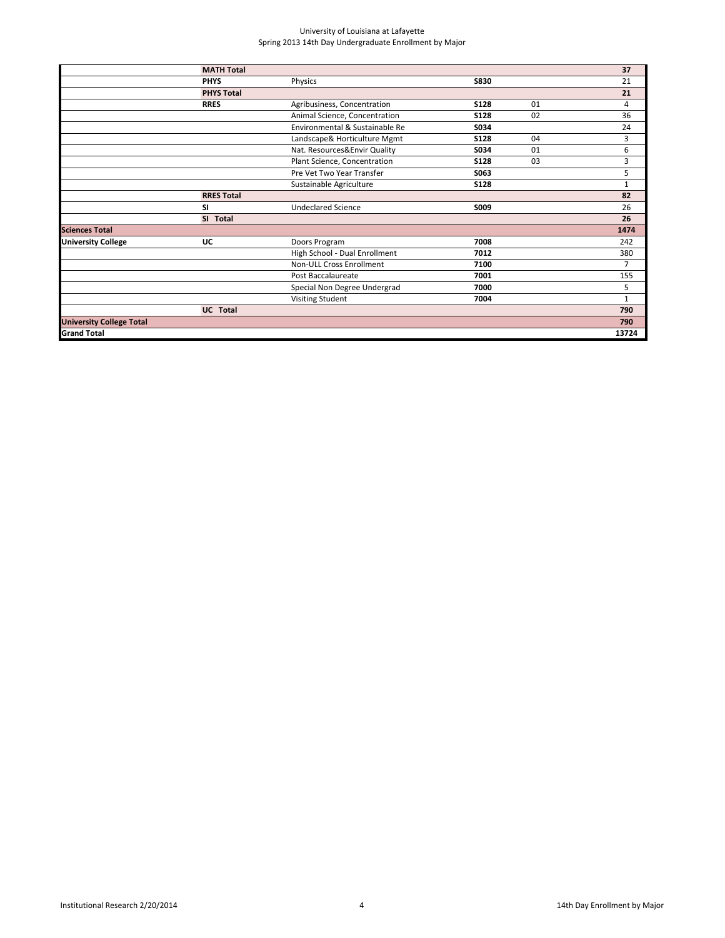|                                 | <b>MATH Total</b> |                                |             |    | 37             |
|---------------------------------|-------------------|--------------------------------|-------------|----|----------------|
|                                 | <b>PHYS</b>       | Physics                        | <b>S830</b> |    | 21             |
|                                 | <b>PHYS Total</b> |                                |             |    | 21             |
|                                 | <b>RRES</b>       | Agribusiness, Concentration    | <b>S128</b> | 01 | 4              |
|                                 |                   | Animal Science, Concentration  | <b>S128</b> | 02 | 36             |
|                                 |                   | Environmental & Sustainable Re | S034        |    | 24             |
|                                 |                   | Landscape& Horticulture Mgmt   | <b>S128</b> | 04 | 3              |
|                                 |                   | Nat. Resources&Envir Quality   | S034        | 01 | 6              |
|                                 |                   | Plant Science, Concentration   | <b>S128</b> | 03 | 3              |
|                                 |                   | Pre Vet Two Year Transfer      | S063        |    | 5              |
|                                 |                   | Sustainable Agriculture        | <b>S128</b> |    | $\mathbf{1}$   |
|                                 | <b>RRES Total</b> |                                |             |    | 82             |
|                                 | <b>SI</b>         | <b>Undeclared Science</b>      | S009        |    | 26             |
|                                 | SI Total          |                                |             |    | 26             |
| <b>Sciences Total</b>           |                   |                                |             |    | 1474           |
| <b>University College</b>       | UC                | Doors Program                  | 7008        |    | 242            |
|                                 |                   | High School - Dual Enrollment  | 7012        |    | 380            |
|                                 |                   | Non-ULL Cross Enrollment       | 7100        |    | $\overline{7}$ |
|                                 |                   | Post Baccalaureate             | 7001        |    | 155            |
|                                 |                   | Special Non Degree Undergrad   | 7000        |    | 5              |
|                                 |                   | <b>Visiting Student</b>        | 7004        |    | $\mathbf{1}$   |
|                                 | <b>UC</b> Total   |                                |             |    | 790            |
| <b>University College Total</b> |                   |                                |             |    | 790            |
| <b>Grand Total</b>              |                   |                                |             |    | 13724          |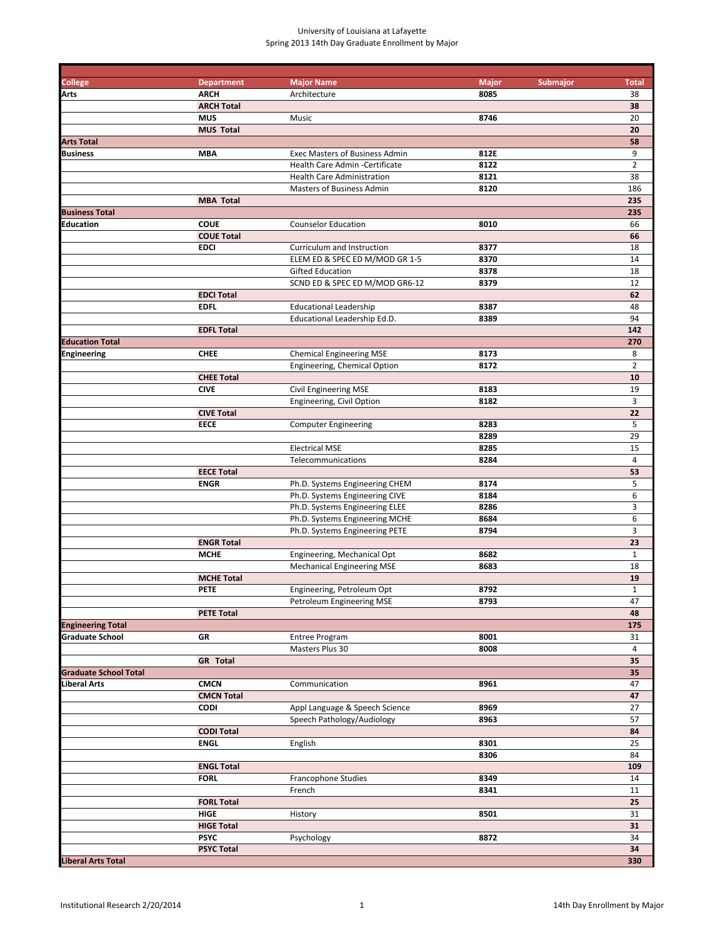| <b>College</b>               | <b>Department</b> | <b>Major Name</b>                     | <b>Major</b><br><b>Submajor</b> | <b>Total</b>   |
|------------------------------|-------------------|---------------------------------------|---------------------------------|----------------|
| Arts                         | <b>ARCH</b>       | Architecture                          | 8085                            | 38             |
|                              | <b>ARCH Total</b> |                                       |                                 | 38             |
|                              | <b>MUS</b>        | Music                                 | 8746                            | 20             |
|                              | <b>MUS Total</b>  |                                       |                                 | 20             |
| <b>Arts Total</b>            |                   |                                       |                                 | 58             |
| <b>Business</b>              | <b>MBA</b>        | <b>Exec Masters of Business Admin</b> | 812E                            | 9              |
|                              |                   | Health Care Admin - Certificate       | 8122                            | $\overline{2}$ |
|                              |                   | <b>Health Care Administration</b>     | 8121                            | 38             |
|                              |                   | Masters of Business Admin             | 8120                            | 186            |
|                              | <b>MBA Total</b>  |                                       |                                 | 235            |
| <b>Business Total</b>        |                   |                                       |                                 | 235            |
| <b>Education</b>             | <b>COUE</b>       | <b>Counselor Education</b>            | 8010                            | 66             |
|                              | <b>COUE Total</b> |                                       |                                 | 66             |
|                              | <b>EDCI</b>       | Curriculum and Instruction            | 8377                            | 18             |
|                              |                   | ELEM ED & SPEC ED M/MOD GR 1-5        | 8370                            | 14             |
|                              |                   | <b>Gifted Education</b>               | 8378                            | 18             |
|                              |                   | SCND ED & SPEC ED M/MOD GR6-12        | 8379                            | 12             |
|                              | <b>EDCI Total</b> |                                       |                                 | 62             |
|                              | <b>EDFL</b>       | <b>Educational Leadership</b>         | 8387                            | 48             |
|                              |                   | Educational Leadership Ed.D.          | 8389                            | 94             |
|                              | <b>EDFL Total</b> |                                       |                                 | 142            |
| <b>Education Total</b>       |                   |                                       |                                 | 270            |
| Engineering                  | <b>CHEE</b>       | <b>Chemical Engineering MSE</b>       | 8173                            | 8              |
|                              |                   | Engineering, Chemical Option          | 8172                            | $\overline{2}$ |
|                              | <b>CHEE Total</b> |                                       |                                 | 10             |
|                              | <b>CIVE</b>       | Civil Engineering MSE                 | 8183                            | 19             |
|                              |                   | Engineering, Civil Option             | 8182                            | 3              |
|                              | <b>CIVE Total</b> |                                       |                                 | 22             |
|                              | <b>EECE</b>       | <b>Computer Engineering</b>           | 8283                            | 5              |
|                              |                   |                                       | 8289                            | 29             |
|                              |                   | <b>Electrical MSE</b>                 | 8285                            | 15             |
|                              |                   | Telecommunications                    | 8284                            | 4              |
|                              | <b>EECE Total</b> |                                       |                                 | 53             |
|                              | <b>ENGR</b>       | Ph.D. Systems Engineering CHEM        | 8174                            | 5              |
|                              |                   | Ph.D. Systems Engineering CIVE        | 8184                            | 6              |
|                              |                   | Ph.D. Systems Engineering ELEE        | 8286                            | $\overline{3}$ |
|                              |                   | Ph.D. Systems Engineering MCHE        | 8684                            | 6              |
|                              |                   | Ph.D. Systems Engineering PETE        | 8794                            | 3              |
|                              | <b>ENGR Total</b> |                                       |                                 | 23             |
|                              | <b>MCHE</b>       | Engineering, Mechanical Opt           | 8682                            | $\mathbf 1$    |
|                              |                   | <b>Mechanical Engineering MSE</b>     | 8683                            | 18             |
|                              | <b>MCHE Total</b> |                                       |                                 | 19             |
|                              | <b>PETE</b>       | Engineering, Petroleum Opt            | 8792                            | $\mathbf{1}$   |
|                              |                   | Petroleum Engineering MSE             | 8793                            | 47             |
|                              | <b>PETE Total</b> |                                       |                                 | 48             |
| <b>Engineering Total</b>     |                   |                                       |                                 | 175            |
| <b>Graduate School</b>       | GR                | Entree Program                        | 8001                            | 31             |
|                              |                   | Masters Plus 30                       | 8008                            | $\overline{4}$ |
|                              | <b>GR</b> Total   |                                       |                                 | 35             |
| <b>Graduate School Total</b> |                   |                                       |                                 | 35             |
| Liberal Arts                 | <b>CMCN</b>       | Communication                         | 8961                            | 47             |
|                              | <b>CMCN Total</b> |                                       |                                 | 47             |
|                              | <b>CODI</b>       | Appl Language & Speech Science        | 8969                            | 27             |
|                              |                   | Speech Pathology/Audiology            | 8963                            | 57             |
|                              | <b>CODI Total</b> |                                       |                                 | 84             |
|                              | <b>ENGL</b>       | English                               | 8301                            | 25             |
|                              |                   |                                       | 8306                            | 84             |
|                              | <b>ENGL Total</b> |                                       |                                 | 109            |
|                              | <b>FORL</b>       | Francophone Studies                   | 8349                            | 14             |
|                              |                   | French                                | 8341                            | $11\,$         |
|                              | <b>FORL Total</b> |                                       |                                 | 25             |
|                              | HIGE              | History                               | 8501                            | 31             |
|                              | <b>HIGE Total</b> |                                       |                                 | 31             |
|                              | <b>PSYC</b>       | Psychology                            | 8872                            | 34             |
|                              | <b>PSYC Total</b> |                                       |                                 | 34             |
| <b>Liberal Arts Total</b>    |                   |                                       |                                 | 330            |